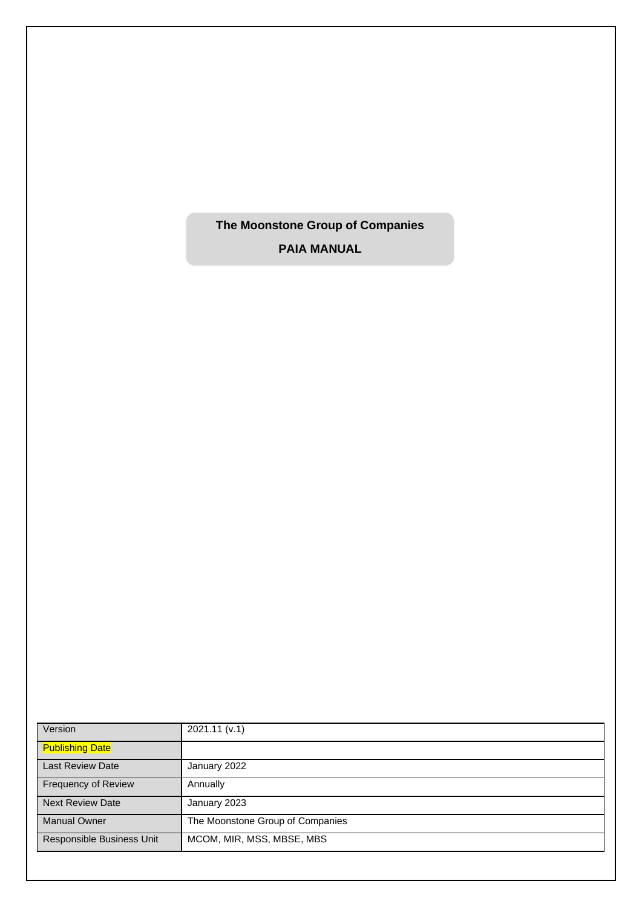**The Moonstone Group of Companies**

**PAIA MANUAL**

| Version                   | 2021.11 (v.1)                    |
|---------------------------|----------------------------------|
| <b>Publishing Date</b>    |                                  |
| <b>Last Review Date</b>   | January 2022                     |
| Frequency of Review       | Annually                         |
| <b>Next Review Date</b>   | January 2023                     |
| <b>Manual Owner</b>       | The Moonstone Group of Companies |
| Responsible Business Unit | MCOM, MIR, MSS, MBSE, MBS        |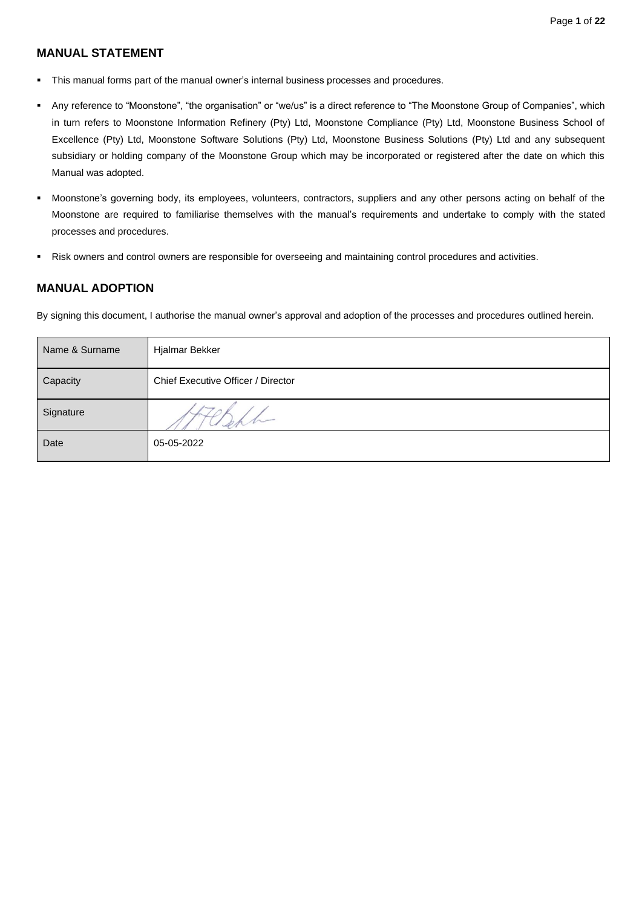# **MANUAL STATEMENT**

- This manual forms part of the manual owner's internal business processes and procedures.
- Any reference to "Moonstone", "the organisation" or "we/us" is a direct reference to "The Moonstone Group of Companies", which in turn refers to Moonstone Information Refinery (Pty) Ltd, Moonstone Compliance (Pty) Ltd, Moonstone Business School of Excellence (Pty) Ltd, Moonstone Software Solutions (Pty) Ltd, Moonstone Business Solutions (Pty) Ltd and any subsequent subsidiary or holding company of the Moonstone Group which may be incorporated or registered after the date on which this Manual was adopted.
- Moonstone's governing body, its employees, volunteers, contractors, suppliers and any other persons acting on behalf of the Moonstone are required to familiarise themselves with the manual's requirements and undertake to comply with the stated processes and procedures.
- Risk owners and control owners are responsible for overseeing and maintaining control procedures and activities.

## **MANUAL ADOPTION**

By signing this document, I authorise the manual owner's approval and adoption of the processes and procedures outlined herein.

| Name & Surname | Hjalmar Bekker                     |
|----------------|------------------------------------|
| Capacity       | Chief Executive Officer / Director |
| Signature      |                                    |
| Date           | 05-05-2022                         |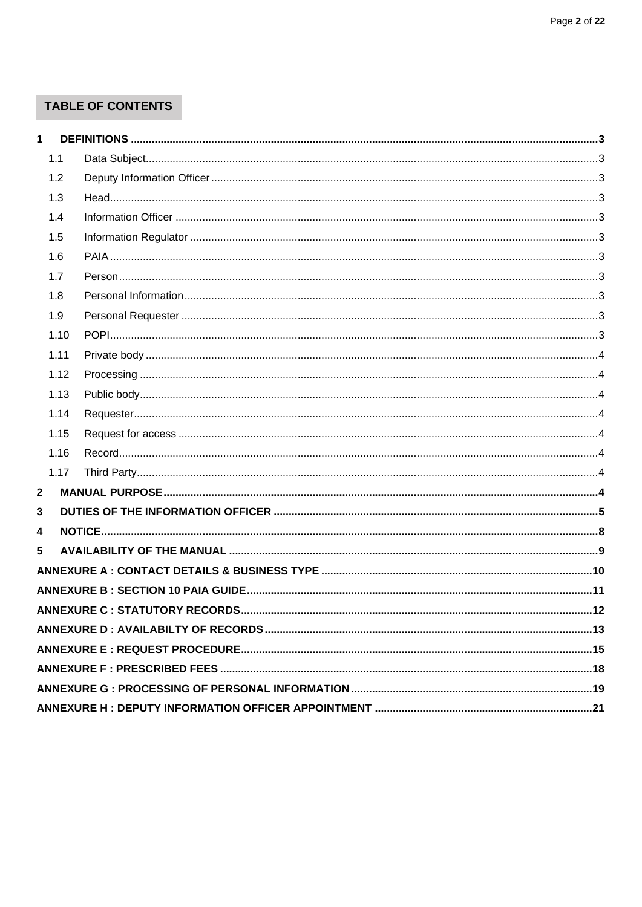# **TABLE OF CONTENTS**

| $\mathbf 1$ |      |  |
|-------------|------|--|
|             | 1.1  |  |
|             | 1.2  |  |
|             | 1.3  |  |
|             | 1.4  |  |
|             | 1.5  |  |
|             | 1.6  |  |
|             | 1.7  |  |
|             | 1.8  |  |
|             | 1.9  |  |
|             | 1.10 |  |
|             | 1.11 |  |
|             | 1.12 |  |
|             | 1.13 |  |
|             | 1.14 |  |
|             | 1.15 |  |
|             | 1.16 |  |
|             | 1.17 |  |
| 2           |      |  |
| 3           |      |  |
| 4           |      |  |
| 5           |      |  |
|             |      |  |
|             |      |  |
|             |      |  |
|             |      |  |
|             |      |  |
|             |      |  |
|             |      |  |
|             |      |  |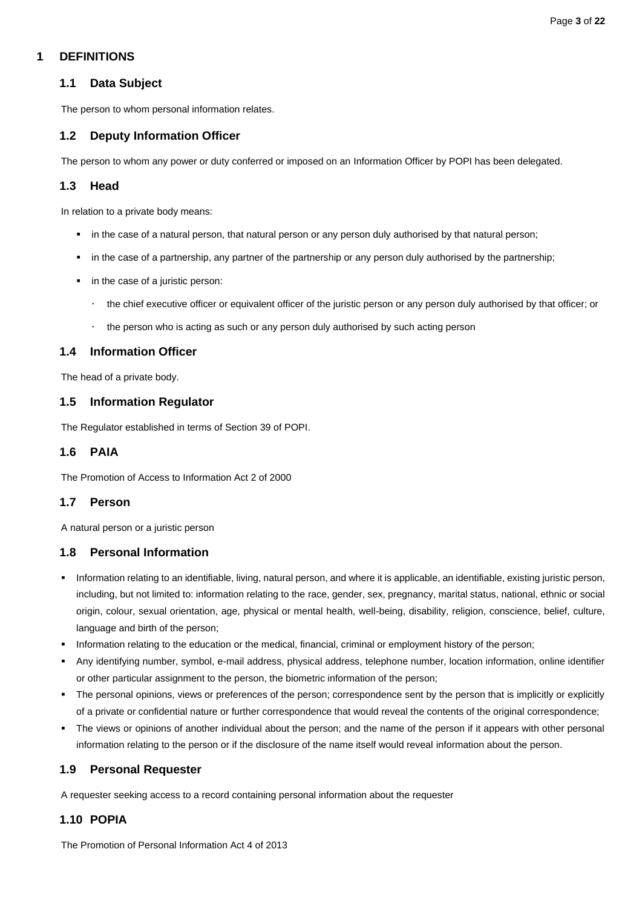## <span id="page-3-1"></span><span id="page-3-0"></span>**1 DEFINITIONS**

## **1.1 Data Subject**

The person to whom personal information relates.

# <span id="page-3-2"></span>**1.2 Deputy Information Officer**

The person to whom any power or duty conferred or imposed on an Information Officer by POPI has been delegated.

### <span id="page-3-3"></span>**1.3 Head**

In relation to a private body means:

- in the case of a natural person, that natural person or any person duly authorised by that natural person;
- in the case of a partnership, any partner of the partnership or any person duly authorised by the partnership;
- in the case of a juristic person:
	- the chief executive officer or equivalent officer of the juristic person or any person duly authorised by that officer; or
	- $\cdot$  the person who is acting as such or any person duly authorised by such acting person

## <span id="page-3-4"></span>**1.4 Information Officer**

The head of a private body.

### <span id="page-3-5"></span>**1.5 Information Regulator**

The Regulator established in terms of Section 39 of POPI.

### <span id="page-3-6"></span>**1.6 PAIA**

The Promotion of Access to Information Act 2 of 2000

### <span id="page-3-7"></span>**1.7 Person**

A natural person or a juristic person

### <span id="page-3-8"></span>**1.8 Personal Information**

- Information relating to an identifiable, living, natural person, and where it is applicable, an identifiable, existing juristic person, including, but not limited to: information relating to the race, gender, sex, pregnancy, marital status, national, ethnic or social origin, colour, sexual orientation, age, physical or mental health, well-being, disability, religion, conscience, belief, culture, language and birth of the person;
- Information relating to the education or the medical, financial, criminal or employment history of the person;
- Any identifying number, symbol, e-mail address, physical address, telephone number, location information, online identifier or other particular assignment to the person, the biometric information of the person;
- The personal opinions, views or preferences of the person; correspondence sent by the person that is implicitly or explicitly of a private or confidential nature or further correspondence that would reveal the contents of the original correspondence;
- The views or opinions of another individual about the person; and the name of the person if it appears with other personal information relating to the person or if the disclosure of the name itself would reveal information about the person.

### <span id="page-3-9"></span>**1.9 Personal Requester**

A requester seeking access to a record containing personal information about the requester

# <span id="page-3-10"></span>**1.10 POPIA**

The Promotion of Personal Information Act 4 of 2013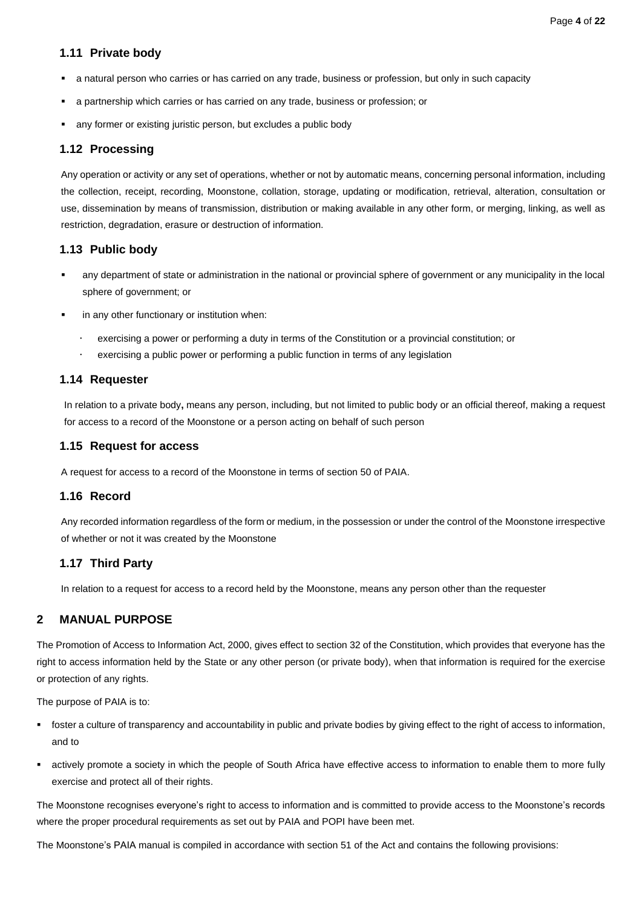### <span id="page-4-0"></span>**1.11 Private body**

- a natural person who carries or has carried on any trade, business or profession, but only in such capacity
- a partnership which carries or has carried on any trade, business or profession; or
- any former or existing juristic person, but excludes a public body

### <span id="page-4-1"></span>**1.12 Processing**

Any operation or activity or any set of operations, whether or not by automatic means, concerning personal information, including the collection, receipt, recording, Moonstone, collation, storage, updating or modification, retrieval, alteration, consultation or use, dissemination by means of transmission, distribution or making available in any other form, or merging, linking, as well as restriction, degradation, erasure or destruction of information.

### <span id="page-4-2"></span>**1.13 Public body**

- any department of state or administration in the national or provincial sphere of government or any municipality in the local sphere of government; or
- in any other functionary or institution when:
	- exercising a power or performing a duty in terms of the Constitution or a provincial constitution; or
	- exercising a public power or performing a public function in terms of any legislation

### <span id="page-4-3"></span>**1.14 Requester**

In relation to a private body**,** means any person, including, but not limited to public body or an official thereof, making a request for access to a record of the Moonstone or a person acting on behalf of such person

### <span id="page-4-4"></span>**1.15 Request for access**

A request for access to a record of the Moonstone in terms of section 50 of PAIA.

### <span id="page-4-5"></span>**1.16 Record**

Any recorded information regardless of the form or medium, in the possession or under the control of the Moonstone irrespective of whether or not it was created by the Moonstone

### <span id="page-4-6"></span>**1.17 Third Party**

In relation to a request for access to a record held by the Moonstone, means any person other than the requester

### <span id="page-4-7"></span>**2 MANUAL PURPOSE**

The Promotion of Access to Information Act, 2000, gives effect to section 32 of the Constitution, which provides that everyone has the right to access information held by the State or any other person (or private body), when that information is required for the exercise or protection of any rights.

The purpose of PAIA is to:

- foster a culture of transparency and accountability in public and private bodies by giving effect to the right of access to information, and to
- actively promote a society in which the people of South Africa have effective access to information to enable them to more fully exercise and protect all of their rights.

The Moonstone recognises everyone's right to access to information and is committed to provide access to the Moonstone's records where the proper procedural requirements as set out by PAIA and POPI have been met.

The Moonstone's PAIA manual is compiled in accordance with section 51 of the Act and contains the following provisions: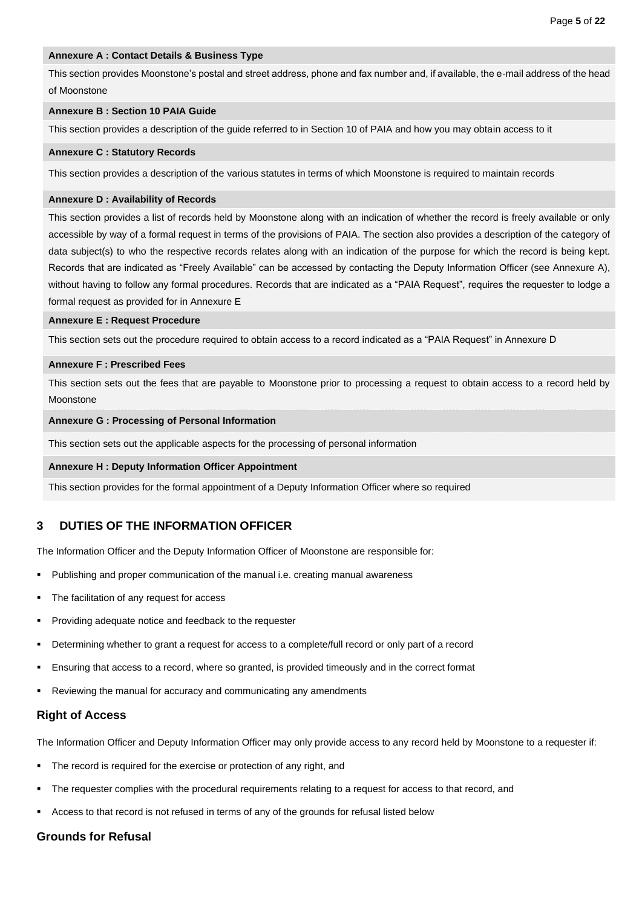### **Annexure A : Contact Details & Business Type**

This section provides Moonstone's postal and street address, phone and fax number and, if available, the e-mail address of the head of Moonstone

#### **Annexure B : Section 10 PAIA Guide**

This section provides a description of the guide referred to in Section 10 of PAIA and how you may obtain access to it

#### **Annexure C : Statutory Records**

This section provides a description of the various statutes in terms of which Moonstone is required to maintain records

#### **Annexure D : Availability of Records**

This section provides a list of records held by Moonstone along with an indication of whether the record is freely available or only accessible by way of a formal request in terms of the provisions of PAIA. The section also provides a description of the category of data subject(s) to who the respective records relates along with an indication of the purpose for which the record is being kept. Records that are indicated as "Freely Available" can be accessed by contacting the Deputy Information Officer (see Annexure A), without having to follow any formal procedures. Records that are indicated as a "PAIA Request", requires the requester to lodge a formal request as provided for in Annexure E

#### **Annexure E : Request Procedure**

This section sets out the procedure required to obtain access to a record indicated as a "PAIA Request" in Annexure D

#### **Annexure F : Prescribed Fees**

This section sets out the fees that are payable to Moonstone prior to processing a request to obtain access to a record held by Moonstone

### **Annexure G : Processing of Personal Information**

This section sets out the applicable aspects for the processing of personal information

#### **Annexure H : Deputy Information Officer Appointment**

This section provides for the formal appointment of a Deputy Information Officer where so required

### <span id="page-5-0"></span>**3 DUTIES OF THE INFORMATION OFFICER**

The Information Officer and the Deputy Information Officer of Moonstone are responsible for:

- Publishing and proper communication of the manual i.e. creating manual awareness
- The facilitation of any request for access
- Providing adequate notice and feedback to the requester
- Determining whether to grant a request for access to a complete/full record or only part of a record
- Ensuring that access to a record, where so granted, is provided timeously and in the correct format
- Reviewing the manual for accuracy and communicating any amendments

### **Right of Access**

The Information Officer and Deputy Information Officer may only provide access to any record held by Moonstone to a requester if:

- The record is required for the exercise or protection of any right, and
- The requester complies with the procedural requirements relating to a request for access to that record, and
- Access to that record is not refused in terms of any of the grounds for refusal listed below

### **Grounds for Refusal**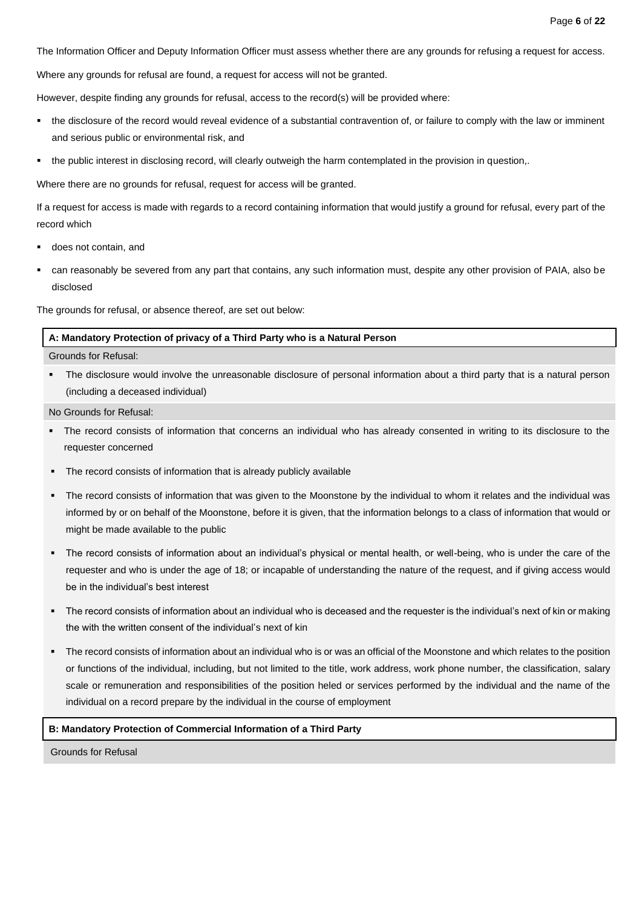The Information Officer and Deputy Information Officer must assess whether there are any grounds for refusing a request for access.

Where any grounds for refusal are found, a request for access will not be granted.

However, despite finding any grounds for refusal, access to the record(s) will be provided where:

- the disclosure of the record would reveal evidence of a substantial contravention of, or failure to comply with the law or imminent and serious public or environmental risk, and
- the public interest in disclosing record, will clearly outweigh the harm contemplated in the provision in question,.

Where there are no grounds for refusal, request for access will be granted.

If a request for access is made with regards to a record containing information that would justify a ground for refusal, every part of the record which

- does not contain, and
- can reasonably be severed from any part that contains, any such information must, despite any other provision of PAIA, also be disclosed

The grounds for refusal, or absence thereof, are set out below:

**A: Mandatory Protection of privacy of a Third Party who is a Natural Person**

Grounds for Refusal:

The disclosure would involve the unreasonable disclosure of personal information about a third party that is a natural person (including a deceased individual)

No Grounds for Refusal:

- The record consists of information that concerns an individual who has already consented in writing to its disclosure to the requester concerned
- The record consists of information that is already publicly available
- The record consists of information that was given to the Moonstone by the individual to whom it relates and the individual was informed by or on behalf of the Moonstone, before it is given, that the information belongs to a class of information that would or might be made available to the public
- The record consists of information about an individual's physical or mental health, or well-being, who is under the care of the requester and who is under the age of 18; or incapable of understanding the nature of the request, and if giving access would be in the individual's best interest
- The record consists of information about an individual who is deceased and the requester is the individual's next of kin or making the with the written consent of the individual's next of kin
- The record consists of information about an individual who is or was an official of the Moonstone and which relates to the position or functions of the individual, including, but not limited to the title, work address, work phone number, the classification, salary scale or remuneration and responsibilities of the position heled or services performed by the individual and the name of the individual on a record prepare by the individual in the course of employment

### **B: Mandatory Protection of Commercial Information of a Third Party**

Grounds for Refusal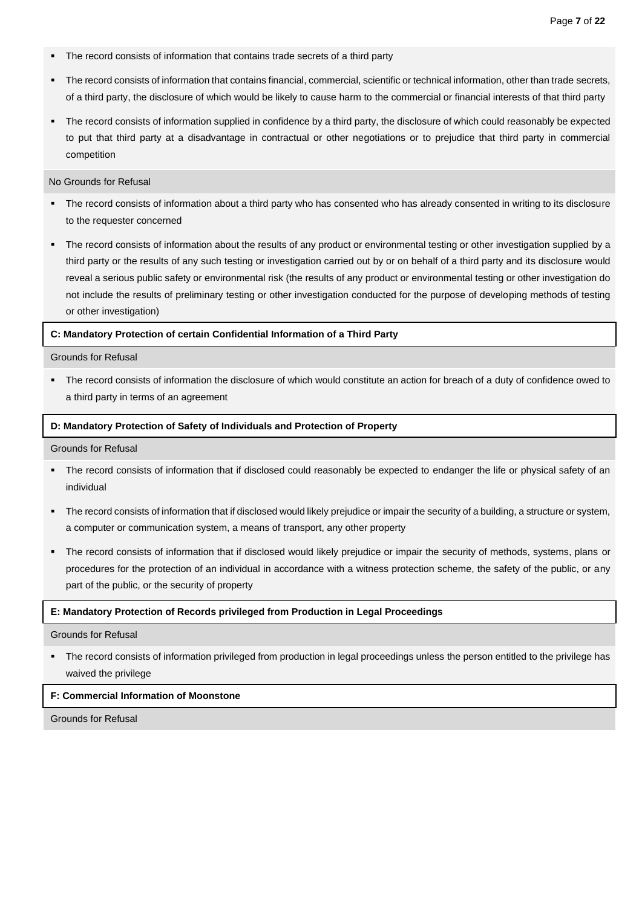- The record consists of information that contains trade secrets of a third party
- The record consists of information that contains financial, commercial, scientific or technical information, other than trade secrets, of a third party, the disclosure of which would be likely to cause harm to the commercial or financial interests of that third party
- The record consists of information supplied in confidence by a third party, the disclosure of which could reasonably be expected to put that third party at a disadvantage in contractual or other negotiations or to prejudice that third party in commercial competition

No Grounds for Refusal

- The record consists of information about a third party who has consented who has already consented in writing to its disclosure to the requester concerned
- The record consists of information about the results of any product or environmental testing or other investigation supplied by a third party or the results of any such testing or investigation carried out by or on behalf of a third party and its disclosure would reveal a serious public safety or environmental risk (the results of any product or environmental testing or other investigation do not include the results of preliminary testing or other investigation conducted for the purpose of developing methods of testing or other investigation)

#### **C: Mandatory Protection of certain Confidential Information of a Third Party**

Grounds for Refusal

▪ The record consists of information the disclosure of which would constitute an action for breach of a duty of confidence owed to a third party in terms of an agreement

#### **D: Mandatory Protection of Safety of Individuals and Protection of Property**

Grounds for Refusal

- The record consists of information that if disclosed could reasonably be expected to endanger the life or physical safety of an individual
- The record consists of information that if disclosed would likely prejudice or impair the security of a building, a structure or system, a computer or communication system, a means of transport, any other property
- The record consists of information that if disclosed would likely prejudice or impair the security of methods, systems, plans or procedures for the protection of an individual in accordance with a witness protection scheme, the safety of the public, or any part of the public, or the security of property

#### **E: Mandatory Protection of Records privileged from Production in Legal Proceedings**

Grounds for Refusal

The record consists of information privileged from production in legal proceedings unless the person entitled to the privilege has waived the privilege

#### **F: Commercial Information of Moonstone**

Grounds for Refusal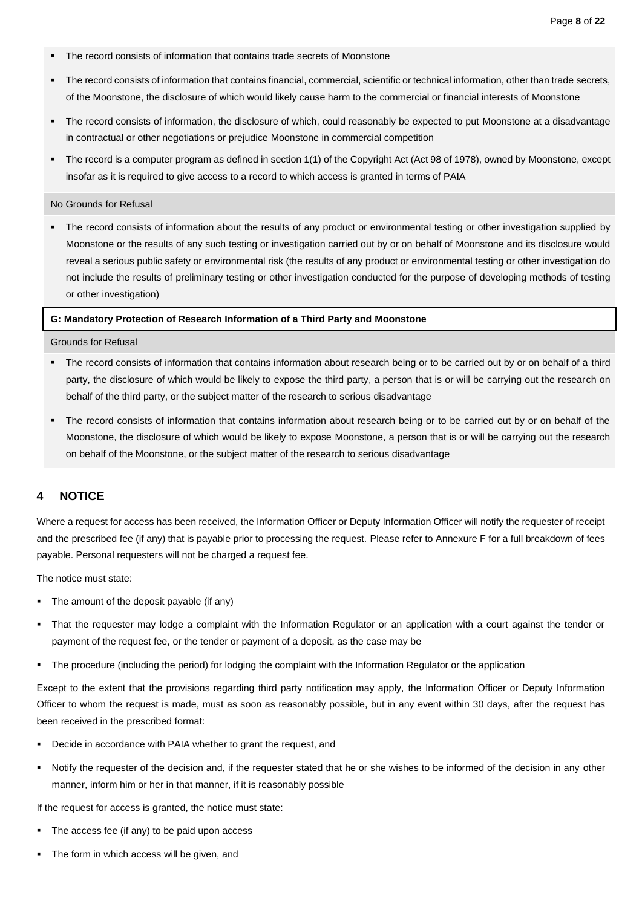- The record consists of information that contains trade secrets of Moonstone
- The record consists of information that contains financial, commercial, scientific or technical information, other than trade secrets, of the Moonstone, the disclosure of which would likely cause harm to the commercial or financial interests of Moonstone
- The record consists of information, the disclosure of which, could reasonably be expected to put Moonstone at a disadvantage in contractual or other negotiations or prejudice Moonstone in commercial competition
- The record is a computer program as defined in section 1(1) of the Copyright Act (Act 98 of 1978), owned by Moonstone, except insofar as it is required to give access to a record to which access is granted in terms of PAIA

#### No Grounds for Refusal

The record consists of information about the results of any product or environmental testing or other investigation supplied by Moonstone or the results of any such testing or investigation carried out by or on behalf of Moonstone and its disclosure would reveal a serious public safety or environmental risk (the results of any product or environmental testing or other investigation do not include the results of preliminary testing or other investigation conducted for the purpose of developing methods of testing or other investigation)

#### **G: Mandatory Protection of Research Information of a Third Party and Moonstone**

Grounds for Refusal

- The record consists of information that contains information about research being or to be carried out by or on behalf of a third party, the disclosure of which would be likely to expose the third party, a person that is or will be carrying out the research on behalf of the third party, or the subject matter of the research to serious disadvantage
- The record consists of information that contains information about research being or to be carried out by or on behalf of the Moonstone, the disclosure of which would be likely to expose Moonstone, a person that is or will be carrying out the research on behalf of the Moonstone, or the subject matter of the research to serious disadvantage

### <span id="page-8-0"></span>**4 NOTICE**

Where a request for access has been received, the Information Officer or Deputy Information Officer will notify the requester of receipt and the prescribed fee (if any) that is payable prior to processing the request. Please refer to Annexure F for a full breakdown of fees payable. Personal requesters will not be charged a request fee.

The notice must state:

- The amount of the deposit payable (if any)
- That the requester may lodge a complaint with the Information Regulator or an application with a court against the tender or payment of the request fee, or the tender or payment of a deposit, as the case may be
- The procedure (including the period) for lodging the complaint with the Information Regulator or the application

Except to the extent that the provisions regarding third party notification may apply, the Information Officer or Deputy Information Officer to whom the request is made, must as soon as reasonably possible, but in any event within 30 days, after the request has been received in the prescribed format:

- Decide in accordance with PAIA whether to grant the request, and
- Notify the requester of the decision and, if the requester stated that he or she wishes to be informed of the decision in any other manner, inform him or her in that manner, if it is reasonably possible

If the request for access is granted, the notice must state:

- The access fee (if any) to be paid upon access
- The form in which access will be given, and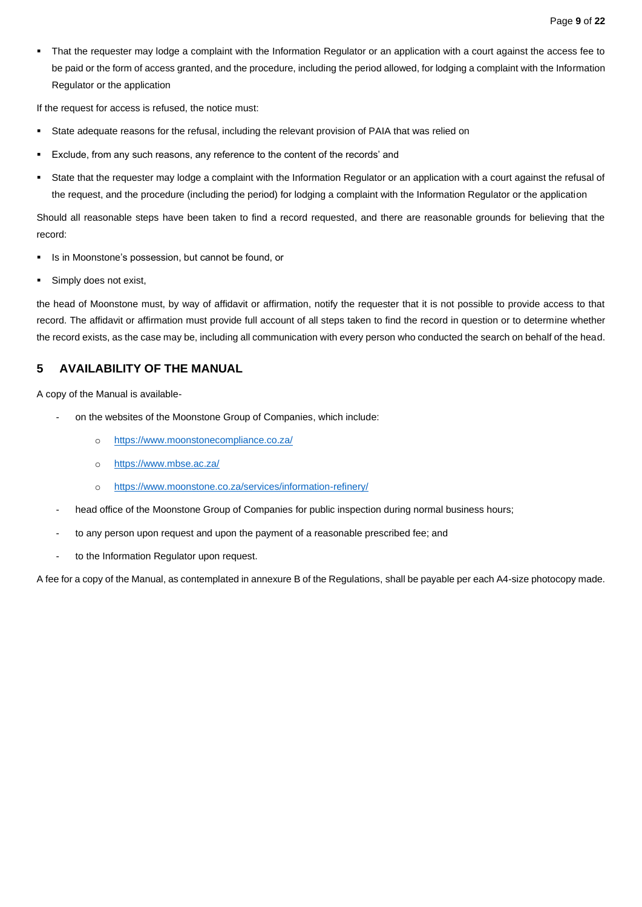That the requester may lodge a complaint with the Information Regulator or an application with a court against the access fee to be paid or the form of access granted, and the procedure, including the period allowed, for lodging a complaint with the Information Regulator or the application

If the request for access is refused, the notice must:

- State adequate reasons for the refusal, including the relevant provision of PAIA that was relied on
- Exclude, from any such reasons, any reference to the content of the records' and
- State that the requester may lodge a complaint with the Information Regulator or an application with a court against the refusal of the request, and the procedure (including the period) for lodging a complaint with the Information Regulator or the application

Should all reasonable steps have been taken to find a record requested, and there are reasonable grounds for believing that the record:

- Is in Moonstone's possession, but cannot be found, or
- Simply does not exist,

the head of Moonstone must, by way of affidavit or affirmation, notify the requester that it is not possible to provide access to that record. The affidavit or affirmation must provide full account of all steps taken to find the record in question or to determine whether the record exists, as the case may be, including all communication with every person who conducted the search on behalf of the head.

# <span id="page-9-0"></span>**5 AVAILABILITY OF THE MANUAL**

A copy of the Manual is available-

- on the websites of the Moonstone Group of Companies, which include:
	- o <https://www.moonstonecompliance.co.za/>
	- o <https://www.mbse.ac.za/>
	- o <https://www.moonstone.co.za/services/information-refinery/>
- head office of the Moonstone Group of Companies for public inspection during normal business hours;
- to any person upon request and upon the payment of a reasonable prescribed fee; and
- to the Information Regulator upon request.

A fee for a copy of the Manual, as contemplated in annexure B of the Regulations, shall be payable per each A4-size photocopy made.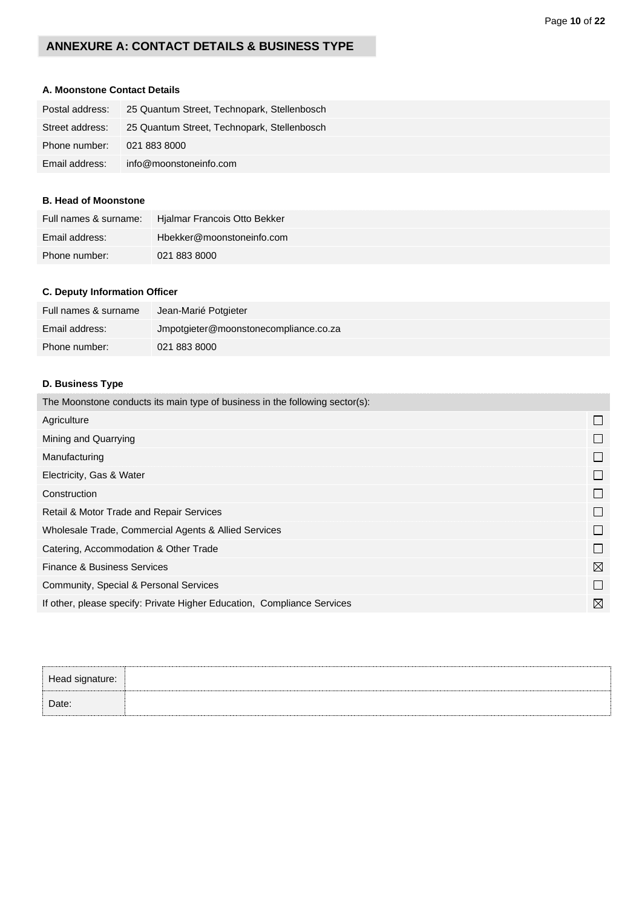# **ANNEXURE A: CONTACT DETAILS & BUSINESS TYPE**

# **A. Moonstone Contact Details**

| Postal address: | 25 Quantum Street, Technopark, Stellenbosch |
|-----------------|---------------------------------------------|
| Street address: | 25 Quantum Street, Technopark, Stellenbosch |
| Phone number:   | 021 883 8000                                |
| Email address:  | info@moonstoneinfo.com                      |

### **B. Head of Moonstone**

| Full names & surname: | Hjalmar Francois Otto Bekker |
|-----------------------|------------------------------|
| Email address:        | Hbekker@moonstoneinfo.com    |
| Phone number:         | 021 883 8000                 |

## **C. Deputy Information Officer**

| Full names & surname | Jean-Marié Potgieter                  |
|----------------------|---------------------------------------|
| Email address:       | Jmpotgieter@moonstonecompliance.co.za |
| Phone number:        | 021 883 8000                          |

# **D. Business Type**

| The Moonstone conducts its main type of business in the following sector(s): |             |
|------------------------------------------------------------------------------|-------------|
| Agriculture                                                                  | $\Box$      |
| Mining and Quarrying                                                         | $\Box$      |
| Manufacturing                                                                | $\sqcup$    |
| Electricity, Gas & Water                                                     | $\Box$      |
| Construction                                                                 | $\Box$      |
| Retail & Motor Trade and Repair Services                                     | $\Box$      |
| Wholesale Trade, Commercial Agents & Allied Services                         | $\Box$      |
| Catering, Accommodation & Other Trade                                        | $\Box$      |
| <b>Finance &amp; Business Services</b>                                       | $\boxtimes$ |
| Community, Special & Personal Services                                       | $\Box$      |
| If other, please specify: Private Higher Education, Compliance Services      | $\boxtimes$ |
|                                                                              |             |

| Head signature: |  |
|-----------------|--|
| Date:           |  |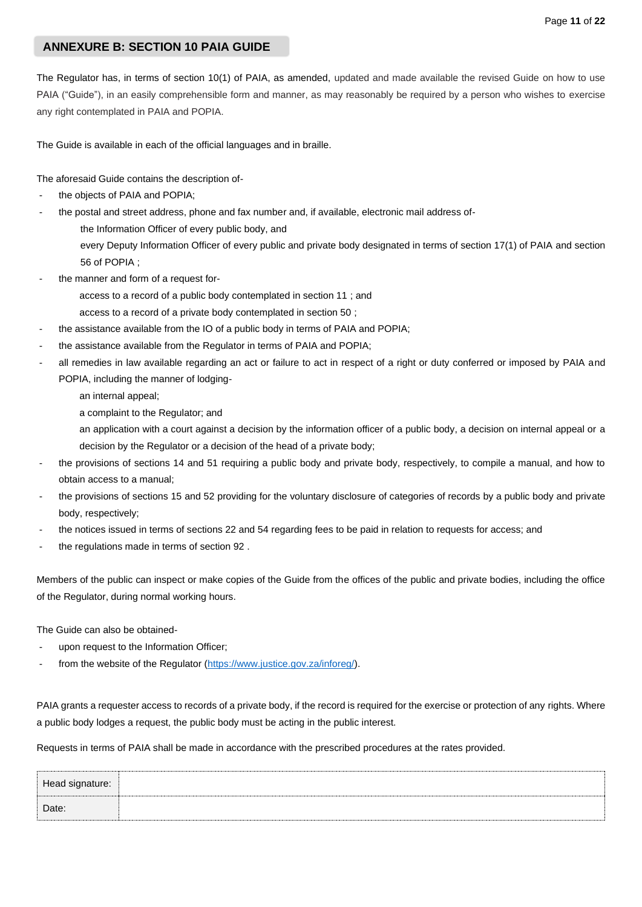### Page **11** of **22**

# **ANNEXURE B: SECTION 10 PAIA GUIDE**

The Regulator has, in terms of section 10(1) of PAIA, as amended, updated and made available the revised Guide on how to use PAIA ("Guide"), in an easily comprehensible form and manner, as may reasonably be required by a person who wishes to exercise any right contemplated in PAIA and POPIA.

The Guide is available in each of the official languages and in braille.

The aforesaid Guide contains the description of-

- the objects of PAIA and POPIA;
	- the postal and street address, phone and fax number and, if available, electronic mail address ofthe Information Officer of every public body, and every Deputy Information Officer of every public and private body designated in terms of section 17(1) of PAIA and section 56 of POPIA ;
- the manner and form of a request for
	- access to a record of a public body contemplated in section 11 ; and
	- access to a record of a private body contemplated in section 50 ;
- the assistance available from the IO of a public body in terms of PAIA and POPIA;
- the assistance available from the Regulator in terms of PAIA and POPIA;
- all remedies in law available regarding an act or failure to act in respect of a right or duty conferred or imposed by PAIA and POPIA, including the manner of lodging
	- an internal appeal;
	- a complaint to the Regulator; and
	- an application with a court against a decision by the information officer of a public body, a decision on internal appeal or a decision by the Regulator or a decision of the head of a private body;
- the provisions of sections 14 and 51 requiring a public body and private body, respectively, to compile a manual, and how to obtain access to a manual;
- the provisions of sections 15 and 52 providing for the voluntary disclosure of categories of records by a public body and private body, respectively;
- the notices issued in terms of sections 22 and 54 regarding fees to be paid in relation to requests for access; and
- the regulations made in terms of section 92.

Members of the public can inspect or make copies of the Guide from the offices of the public and private bodies, including the office of the Regulator, during normal working hours.

The Guide can also be obtained-

- upon request to the Information Officer;
- from the website of the Regulator [\(https://www.justice.gov.za/inforeg/\)](https://www.justice.gov.za/inforeg/).

PAIA grants a requester access to records of a private body, if the record is required for the exercise or protection of any rights. Where a public body lodges a request, the public body must be acting in the public interest.

Requests in terms of PAIA shall be made in accordance with the prescribed procedures at the rates provided.

| Head signature: |  |
|-----------------|--|
| Date:           |  |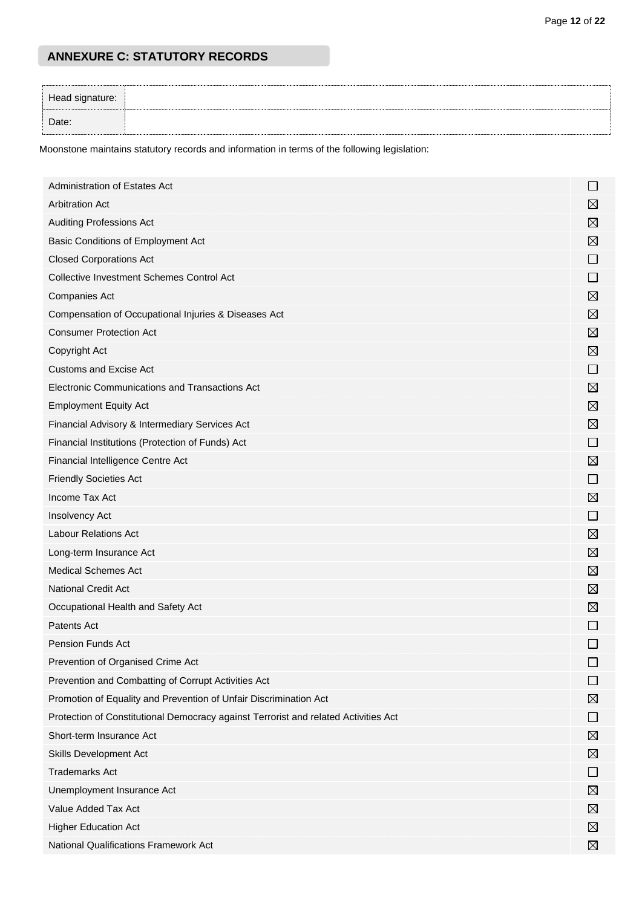# **ANNEXURE C: STATUTORY RECORDS**

| Head signature: |  |
|-----------------|--|
| Date:           |  |

Moonstone maintains statutory records and information in terms of the following legislation:

| Administration of Estates Act                                                       | ⊔              |
|-------------------------------------------------------------------------------------|----------------|
| <b>Arbitration Act</b>                                                              | $\boxtimes$    |
| <b>Auditing Professions Act</b>                                                     | $\boxtimes$    |
| Basic Conditions of Employment Act                                                  | ⊠              |
| <b>Closed Corporations Act</b>                                                      | $\Box$         |
| <b>Collective Investment Schemes Control Act</b>                                    | $\Box$         |
| <b>Companies Act</b>                                                                | ⊠              |
| Compensation of Occupational Injuries & Diseases Act                                | $\boxtimes$    |
| <b>Consumer Protection Act</b>                                                      | $\boxtimes$    |
| Copyright Act                                                                       | ⊠              |
| <b>Customs and Excise Act</b>                                                       | $\Box$         |
| Electronic Communications and Transactions Act                                      | $\boxtimes$    |
| <b>Employment Equity Act</b>                                                        | $\boxtimes$    |
| Financial Advisory & Intermediary Services Act                                      | $\boxtimes$    |
| Financial Institutions (Protection of Funds) Act                                    | $\Box$         |
| Financial Intelligence Centre Act                                                   | $\boxtimes$    |
| <b>Friendly Societies Act</b>                                                       | $\mathcal{L}$  |
| Income Tax Act                                                                      | $\boxtimes$    |
| Insolvency Act                                                                      | ⊔              |
| <b>Labour Relations Act</b>                                                         | $\boxtimes$    |
| Long-term Insurance Act                                                             | ⊠              |
| <b>Medical Schemes Act</b>                                                          | $\boxtimes$    |
| <b>National Credit Act</b>                                                          | $\boxtimes$    |
| Occupational Health and Safety Act                                                  | ⊠              |
| Patents Act                                                                         | ⊔              |
| <b>Pension Funds Act</b>                                                            |                |
| Prevention of Organised Crime Act                                                   |                |
| Prevention and Combatting of Corrupt Activities Act                                 |                |
| Promotion of Equality and Prevention of Unfair Discrimination Act                   | ⊠              |
| Protection of Constitutional Democracy against Terrorist and related Activities Act | $\blacksquare$ |
| Short-term Insurance Act                                                            | ⊠              |
| Skills Development Act                                                              | ⊠              |
| <b>Trademarks Act</b>                                                               | $\blacksquare$ |
| Unemployment Insurance Act                                                          | ⊠              |
| Value Added Tax Act                                                                 | ⊠              |
| <b>Higher Education Act</b>                                                         | $\boxtimes$    |
| National Qualifications Framework Act                                               | ⊠              |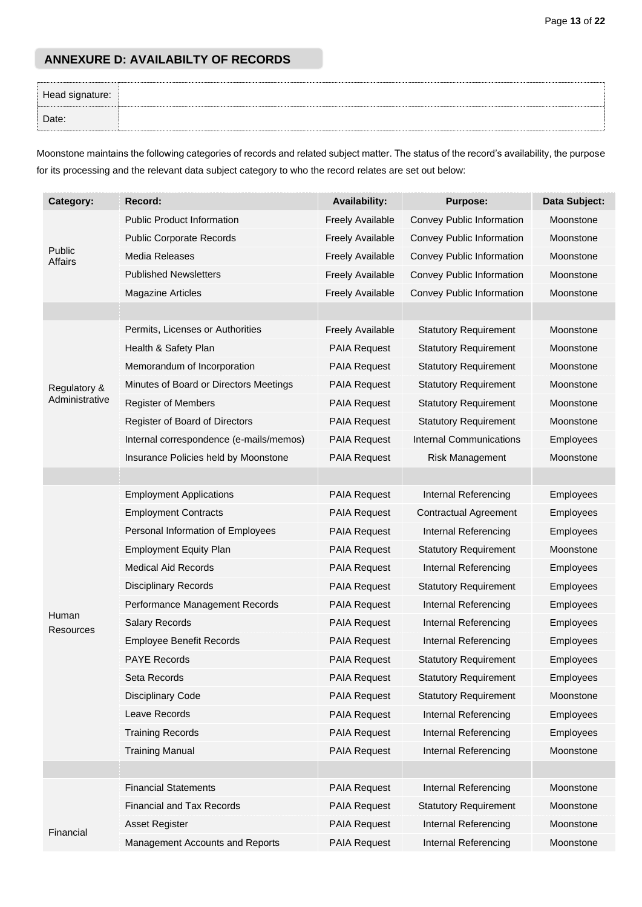# **ANNEXURE D: AVAILABILTY OF RECORDS**

| Head signature: |  |
|-----------------|--|
| Date:           |  |

Moonstone maintains the following categories of records and related subject matter. The status of the record's availability, the purpose for its processing and the relevant data subject category to who the record relates are set out below:

| Category:          | Record:                                 | <b>Availability:</b>    | <b>Purpose:</b>                | Data Subject: |
|--------------------|-----------------------------------------|-------------------------|--------------------------------|---------------|
|                    | <b>Public Product Information</b>       | <b>Freely Available</b> | Convey Public Information      | Moonstone     |
|                    | <b>Public Corporate Records</b>         | <b>Freely Available</b> | Convey Public Information      | Moonstone     |
| Public<br>Affairs  | Media Releases                          | <b>Freely Available</b> | Convey Public Information      | Moonstone     |
|                    | <b>Published Newsletters</b>            | <b>Freely Available</b> | Convey Public Information      | Moonstone     |
|                    | <b>Magazine Articles</b>                | <b>Freely Available</b> | Convey Public Information      | Moonstone     |
|                    |                                         |                         |                                |               |
|                    | Permits, Licenses or Authorities        | <b>Freely Available</b> | <b>Statutory Requirement</b>   | Moonstone     |
|                    | Health & Safety Plan                    | <b>PAIA Request</b>     | <b>Statutory Requirement</b>   | Moonstone     |
|                    | Memorandum of Incorporation             | <b>PAIA Request</b>     | <b>Statutory Requirement</b>   | Moonstone     |
| Regulatory &       | Minutes of Board or Directors Meetings  | <b>PAIA Request</b>     | <b>Statutory Requirement</b>   | Moonstone     |
| Administrative     | <b>Register of Members</b>              | <b>PAIA Request</b>     | <b>Statutory Requirement</b>   | Moonstone     |
|                    | Register of Board of Directors          | <b>PAIA Request</b>     | <b>Statutory Requirement</b>   | Moonstone     |
|                    | Internal correspondence (e-mails/memos) | <b>PAIA Request</b>     | <b>Internal Communications</b> | Employees     |
|                    | Insurance Policies held by Moonstone    | <b>PAIA Request</b>     | Risk Management                | Moonstone     |
|                    |                                         |                         |                                |               |
|                    | <b>Employment Applications</b>          | <b>PAIA Request</b>     | Internal Referencing           | Employees     |
|                    | <b>Employment Contracts</b>             | <b>PAIA Request</b>     | <b>Contractual Agreement</b>   | Employees     |
|                    | Personal Information of Employees       | <b>PAIA Request</b>     | Internal Referencing           | Employees     |
|                    | <b>Employment Equity Plan</b>           | <b>PAIA Request</b>     | <b>Statutory Requirement</b>   | Moonstone     |
|                    | <b>Medical Aid Records</b>              | <b>PAIA Request</b>     | Internal Referencing           | Employees     |
|                    | <b>Disciplinary Records</b>             | <b>PAIA Request</b>     | <b>Statutory Requirement</b>   | Employees     |
|                    | Performance Management Records          | <b>PAIA Request</b>     | Internal Referencing           | Employees     |
| Human<br>Resources | <b>Salary Records</b>                   | <b>PAIA Request</b>     | Internal Referencing           | Employees     |
|                    | <b>Employee Benefit Records</b>         | <b>PAIA Request</b>     | Internal Referencing           | Employees     |
|                    | <b>PAYE Records</b>                     | <b>PAIA Request</b>     | <b>Statutory Requirement</b>   | Employees     |
|                    | Seta Records                            | PAIA Request            | <b>Statutory Requirement</b>   | Employees     |
|                    | <b>Disciplinary Code</b>                | <b>PAIA Request</b>     | <b>Statutory Requirement</b>   | Moonstone     |
|                    | Leave Records                           | PAIA Request            | Internal Referencing           | Employees     |
|                    | <b>Training Records</b>                 | PAIA Request            | Internal Referencing           | Employees     |
|                    | <b>Training Manual</b>                  | <b>PAIA Request</b>     | Internal Referencing           | Moonstone     |
|                    |                                         |                         |                                |               |
|                    | <b>Financial Statements</b>             | PAIA Request            | Internal Referencing           | Moonstone     |
| Financial          | <b>Financial and Tax Records</b>        | <b>PAIA Request</b>     | <b>Statutory Requirement</b>   | Moonstone     |
|                    | Asset Register                          | <b>PAIA Request</b>     | Internal Referencing           | Moonstone     |
|                    | Management Accounts and Reports         | PAIA Request            | Internal Referencing           | Moonstone     |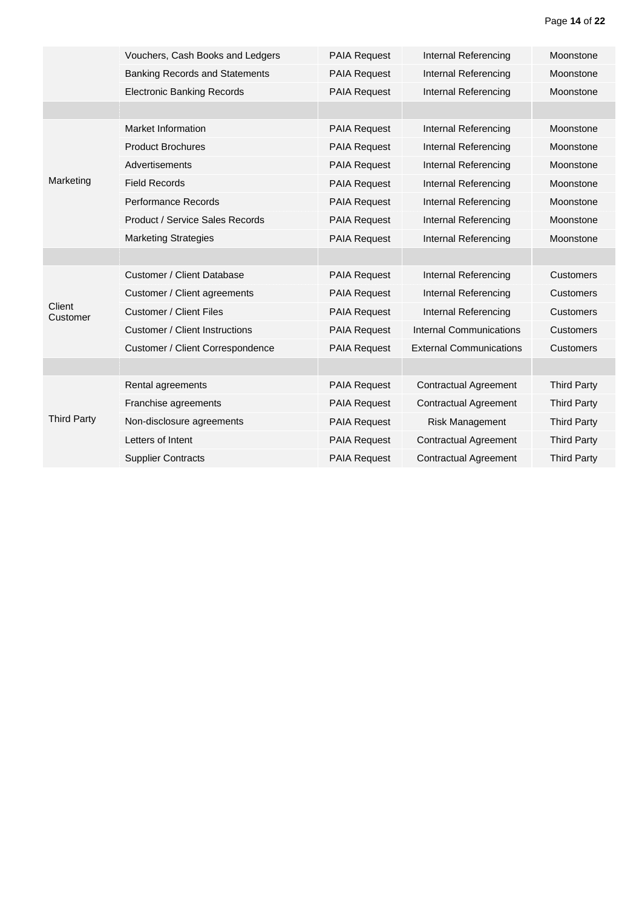|                    | Vouchers, Cash Books and Ledgers       | <b>PAIA Request</b> | Internal Referencing           | Moonstone          |
|--------------------|----------------------------------------|---------------------|--------------------------------|--------------------|
|                    | <b>Banking Records and Statements</b>  | <b>PAIA Request</b> | Internal Referencing           | Moonstone          |
|                    | <b>Electronic Banking Records</b>      | <b>PAIA Request</b> | Internal Referencing           | Moonstone          |
|                    |                                        |                     |                                |                    |
|                    | Market Information                     | <b>PAIA Request</b> | Internal Referencing           | Moonstone          |
|                    | <b>Product Brochures</b>               | <b>PAIA Request</b> | Internal Referencing           | Moonstone          |
|                    | Advertisements                         | <b>PAIA Request</b> | Internal Referencing           | Moonstone          |
| Marketing          | <b>Field Records</b>                   | <b>PAIA Request</b> | Internal Referencing           | Moonstone          |
|                    | <b>Performance Records</b>             | <b>PAIA Request</b> | Internal Referencing           | Moonstone          |
|                    | <b>Product / Service Sales Records</b> | <b>PAIA Request</b> | Internal Referencing           | Moonstone          |
|                    | <b>Marketing Strategies</b>            | <b>PAIA Request</b> | Internal Referencing           | Moonstone          |
|                    |                                        |                     |                                |                    |
|                    | Customer / Client Database             | <b>PAIA Request</b> | Internal Referencing           | <b>Customers</b>   |
|                    | Customer / Client agreements           | <b>PAIA Request</b> | Internal Referencing           | <b>Customers</b>   |
| Client<br>Customer | <b>Customer / Client Files</b>         | <b>PAIA Request</b> | Internal Referencing           | <b>Customers</b>   |
|                    | <b>Customer / Client Instructions</b>  | <b>PAIA Request</b> | <b>Internal Communications</b> | <b>Customers</b>   |
|                    | Customer / Client Correspondence       | <b>PAIA Request</b> | <b>External Communications</b> | <b>Customers</b>   |
|                    |                                        |                     |                                |                    |
| <b>Third Party</b> | Rental agreements                      | <b>PAIA Request</b> | <b>Contractual Agreement</b>   | <b>Third Party</b> |
|                    | Franchise agreements                   | <b>PAIA Request</b> | <b>Contractual Agreement</b>   | <b>Third Party</b> |
|                    | Non-disclosure agreements              | <b>PAIA Request</b> | <b>Risk Management</b>         | <b>Third Party</b> |
|                    | Letters of Intent                      | <b>PAIA Request</b> | <b>Contractual Agreement</b>   | <b>Third Party</b> |
|                    | <b>Supplier Contracts</b>              | <b>PAIA Request</b> | <b>Contractual Agreement</b>   | <b>Third Party</b> |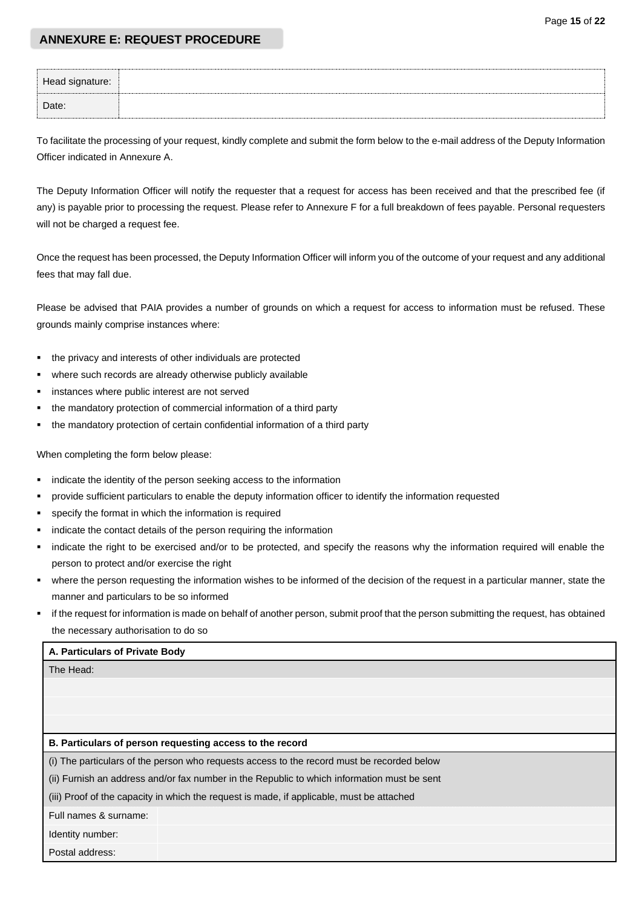### **ANNEXURE E: REQUEST PROCEDURE**

| Head signature: |  |
|-----------------|--|
| Date:           |  |

To facilitate the processing of your request, kindly complete and submit the form below to the e-mail address of the Deputy Information Officer indicated in Annexure A.

The Deputy Information Officer will notify the requester that a request for access has been received and that the prescribed fee (if any) is payable prior to processing the request. Please refer to Annexure F for a full breakdown of fees payable. Personal requesters will not be charged a request fee.

Once the request has been processed, the Deputy Information Officer will inform you of the outcome of your request and any additional fees that may fall due.

Please be advised that PAIA provides a number of grounds on which a request for access to information must be refused. These grounds mainly comprise instances where:

- the privacy and interests of other individuals are protected
- where such records are already otherwise publicly available
- instances where public interest are not served
- the mandatory protection of commercial information of a third party
- the mandatory protection of certain confidential information of a third party

When completing the form below please:

- indicate the identity of the person seeking access to the information
- provide sufficient particulars to enable the deputy information officer to identify the information requested
- specify the format in which the information is required
- indicate the contact details of the person requiring the information
- indicate the right to be exercised and/or to be protected, and specify the reasons why the information required will enable the person to protect and/or exercise the right
- where the person requesting the information wishes to be informed of the decision of the request in a particular manner, state the manner and particulars to be so informed
- if the request for information is made on behalf of another person, submit proof that the person submitting the request, has obtained the necessary authorisation to do so

#### **A. Particulars of Private Body**

The Head:

#### **B. Particulars of person requesting access to the record**

(i) The particulars of the person who requests access to the record must be recorded below

(ii) Furnish an address and/or fax number in the Republic to which information must be sent

(iii) Proof of the capacity in which the request is made, if applicable, must be attached

Full names & surname:

Identity number:

Postal address: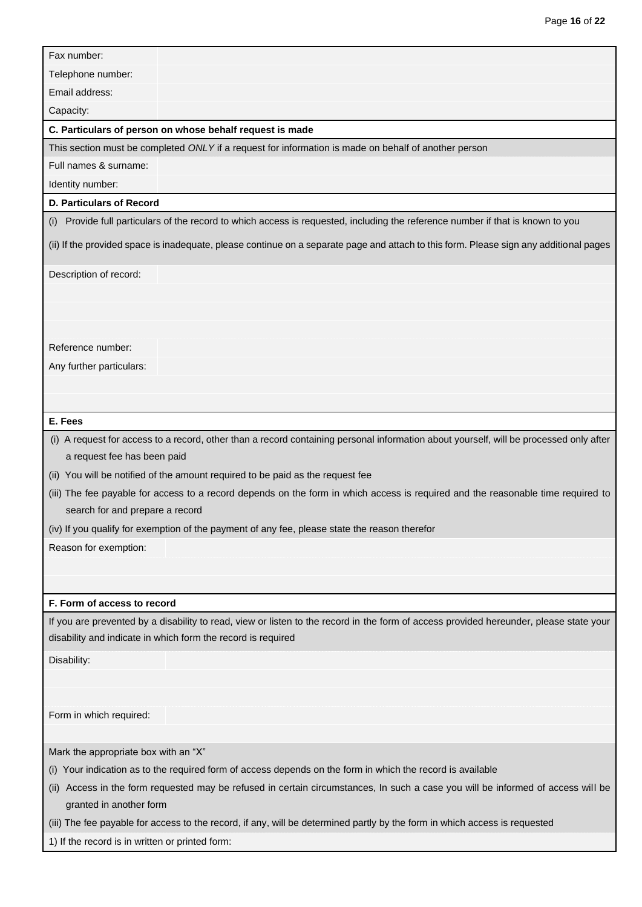| Fax number:                                                                                                                                                                                            |  |  |
|--------------------------------------------------------------------------------------------------------------------------------------------------------------------------------------------------------|--|--|
| Telephone number:                                                                                                                                                                                      |  |  |
| Email address:                                                                                                                                                                                         |  |  |
| Capacity:                                                                                                                                                                                              |  |  |
| C. Particulars of person on whose behalf request is made                                                                                                                                               |  |  |
| This section must be completed ONLY if a request for information is made on behalf of another person                                                                                                   |  |  |
| Full names & surname:                                                                                                                                                                                  |  |  |
| Identity number:                                                                                                                                                                                       |  |  |
| D. Particulars of Record                                                                                                                                                                               |  |  |
| (i) Provide full particulars of the record to which access is requested, including the reference number if that is known to you                                                                        |  |  |
| (ii) If the provided space is inadequate, please continue on a separate page and attach to this form. Please sign any additional pages                                                                 |  |  |
| Description of record:                                                                                                                                                                                 |  |  |
|                                                                                                                                                                                                        |  |  |
|                                                                                                                                                                                                        |  |  |
|                                                                                                                                                                                                        |  |  |
| Reference number:                                                                                                                                                                                      |  |  |
| Any further particulars:                                                                                                                                                                               |  |  |
|                                                                                                                                                                                                        |  |  |
|                                                                                                                                                                                                        |  |  |
| E. Fees                                                                                                                                                                                                |  |  |
| (i) A request for access to a record, other than a record containing personal information about yourself, will be processed only after                                                                 |  |  |
| a request fee has been paid                                                                                                                                                                            |  |  |
| (ii) You will be notified of the amount required to be paid as the request fee                                                                                                                         |  |  |
| (iii) The fee payable for access to a record depends on the form in which access is required and the reasonable time required to                                                                       |  |  |
| search for and prepare a record                                                                                                                                                                        |  |  |
| (iv) If you qualify for exemption of the payment of any fee, please state the reason therefor                                                                                                          |  |  |
| Reason for exemption:                                                                                                                                                                                  |  |  |
|                                                                                                                                                                                                        |  |  |
|                                                                                                                                                                                                        |  |  |
| F. Form of access to record                                                                                                                                                                            |  |  |
| If you are prevented by a disability to read, view or listen to the record in the form of access provided hereunder, please state your<br>disability and indicate in which form the record is required |  |  |
| Disability:                                                                                                                                                                                            |  |  |
|                                                                                                                                                                                                        |  |  |
|                                                                                                                                                                                                        |  |  |
| Form in which required:                                                                                                                                                                                |  |  |
|                                                                                                                                                                                                        |  |  |
| Mark the appropriate box with an "X"                                                                                                                                                                   |  |  |
| (i) Your indication as to the required form of access depends on the form in which the record is available                                                                                             |  |  |
| Access in the form requested may be refused in certain circumstances, In such a case you will be informed of access will be<br>(ii)<br>granted in another form                                         |  |  |
| (iii) The fee payable for access to the record, if any, will be determined partly by the form in which access is requested                                                                             |  |  |

1) If the record is in written or printed form: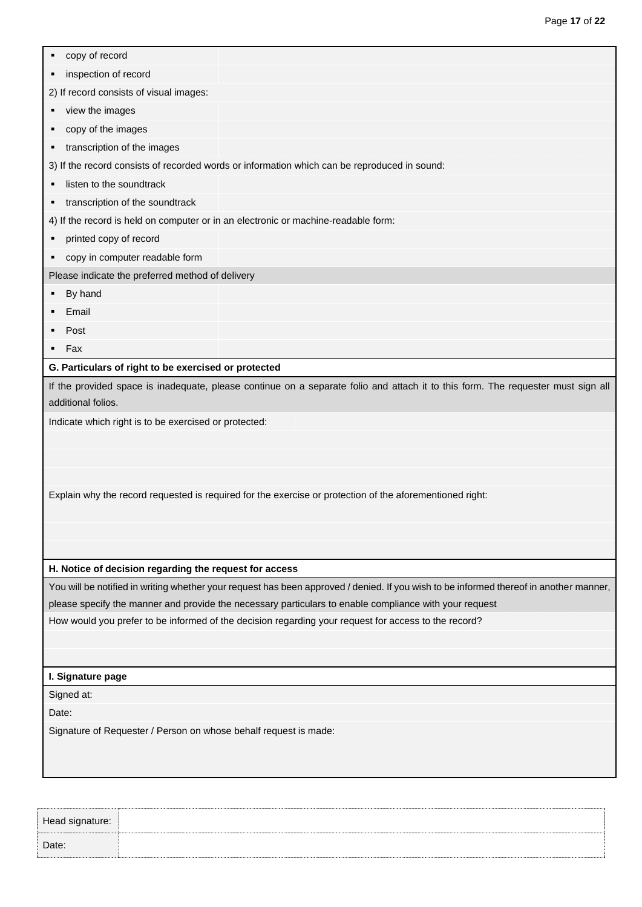| copy of record<br>٠                                                                                                                                                                                             |
|-----------------------------------------------------------------------------------------------------------------------------------------------------------------------------------------------------------------|
| inspection of record<br>٠                                                                                                                                                                                       |
| 2) If record consists of visual images:                                                                                                                                                                         |
| view the images<br>٠                                                                                                                                                                                            |
| copy of the images<br>٠                                                                                                                                                                                         |
| transcription of the images<br>٠                                                                                                                                                                                |
| 3) If the record consists of recorded words or information which can be reproduced in sound:                                                                                                                    |
| listen to the soundtrack<br>٠                                                                                                                                                                                   |
| transcription of the soundtrack<br>٠                                                                                                                                                                            |
| 4) If the record is held on computer or in an electronic or machine-readable form:                                                                                                                              |
| printed copy of record<br>٠                                                                                                                                                                                     |
| copy in computer readable form<br>٠                                                                                                                                                                             |
| Please indicate the preferred method of delivery                                                                                                                                                                |
| By hand<br>٠                                                                                                                                                                                                    |
| Email                                                                                                                                                                                                           |
| Post<br>٠                                                                                                                                                                                                       |
| Fax<br>٠                                                                                                                                                                                                        |
| G. Particulars of right to be exercised or protected                                                                                                                                                            |
| If the provided space is inadequate, please continue on a separate folio and attach it to this form. The requester must sign all<br>additional folios.<br>Indicate which right is to be exercised or protected: |
|                                                                                                                                                                                                                 |
|                                                                                                                                                                                                                 |
|                                                                                                                                                                                                                 |
| Explain why the record requested is required for the exercise or protection of the aforementioned right:                                                                                                        |
|                                                                                                                                                                                                                 |
|                                                                                                                                                                                                                 |
|                                                                                                                                                                                                                 |
| H. Notice of decision regarding the request for access                                                                                                                                                          |
| You will be notified in writing whether your request has been approved / denied. If you wish to be informed thereof in another manner,                                                                          |
| please specify the manner and provide the necessary particulars to enable compliance with your request                                                                                                          |
| How would you prefer to be informed of the decision regarding your request for access to the record?                                                                                                            |
|                                                                                                                                                                                                                 |
|                                                                                                                                                                                                                 |
| I. Signature page                                                                                                                                                                                               |
| Signed at:                                                                                                                                                                                                      |
| Date:                                                                                                                                                                                                           |
| Signature of Requester / Person on whose behalf request is made:                                                                                                                                                |
|                                                                                                                                                                                                                 |
|                                                                                                                                                                                                                 |

Head signature: Date: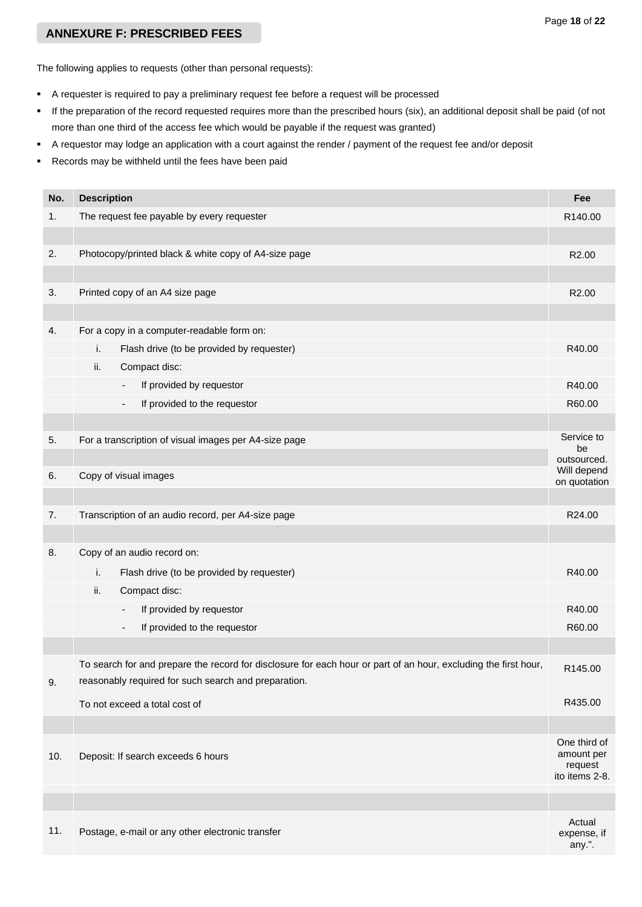### Page **18** of **22**

# **ANNEXURE F: PRESCRIBED FEES**

The following applies to requests (other than personal requests):

- A requester is required to pay a preliminary request fee before a request will be processed
- If the preparation of the record requested requires more than the prescribed hours (six), an additional deposit shall be paid (of not more than one third of the access fee which would be payable if the request was granted)
- A requestor may lodge an application with a court against the render / payment of the request fee and/or deposit
- Records may be withheld until the fees have been paid

| No. | <b>Description</b>                                                                                              | Fee                         |
|-----|-----------------------------------------------------------------------------------------------------------------|-----------------------------|
| 1.  | The request fee payable by every requester                                                                      | R140.00                     |
|     |                                                                                                                 |                             |
| 2.  | Photocopy/printed black & white copy of A4-size page                                                            | R2.00                       |
|     |                                                                                                                 |                             |
| 3.  | Printed copy of an A4 size page                                                                                 | R2.00                       |
|     |                                                                                                                 |                             |
| 4.  | For a copy in a computer-readable form on:                                                                      |                             |
|     | i.<br>Flash drive (to be provided by requester)                                                                 | R40.00                      |
|     | ii.<br>Compact disc:                                                                                            |                             |
|     | If provided by requestor<br>$\qquad \qquad \blacksquare$                                                        | R40.00                      |
|     | If provided to the requestor                                                                                    | R60.00                      |
|     |                                                                                                                 |                             |
| 5.  | For a transcription of visual images per A4-size page                                                           | Service to<br>be            |
|     |                                                                                                                 | outsourced.                 |
| 6.  | Copy of visual images                                                                                           | Will depend<br>on quotation |
|     |                                                                                                                 |                             |
| 7.  | Transcription of an audio record, per A4-size page                                                              | R24.00                      |
|     |                                                                                                                 |                             |
| 8.  | Copy of an audio record on:                                                                                     |                             |
|     | i.<br>Flash drive (to be provided by requester)                                                                 | R40.00                      |
|     | ii.<br>Compact disc:                                                                                            |                             |
|     | If provided by requestor<br>$\centerdot$                                                                        | R40.00                      |
|     | If provided to the requestor<br>$\overline{\phantom{a}}$                                                        | R60.00                      |
|     |                                                                                                                 |                             |
|     | To search for and prepare the record for disclosure for each hour or part of an hour, excluding the first hour, | R145.00                     |
| 9.  | reasonably required for such search and preparation.                                                            |                             |
|     | To not exceed a total cost of                                                                                   | R435.00                     |
|     |                                                                                                                 |                             |
|     |                                                                                                                 | One third of<br>amount per  |
| 10. | Deposit: If search exceeds 6 hours                                                                              | request                     |
|     |                                                                                                                 | ito items 2-8.              |
|     |                                                                                                                 |                             |
| 11. |                                                                                                                 | Actual                      |
|     | Postage, e-mail or any other electronic transfer                                                                | expense, if<br>any.".       |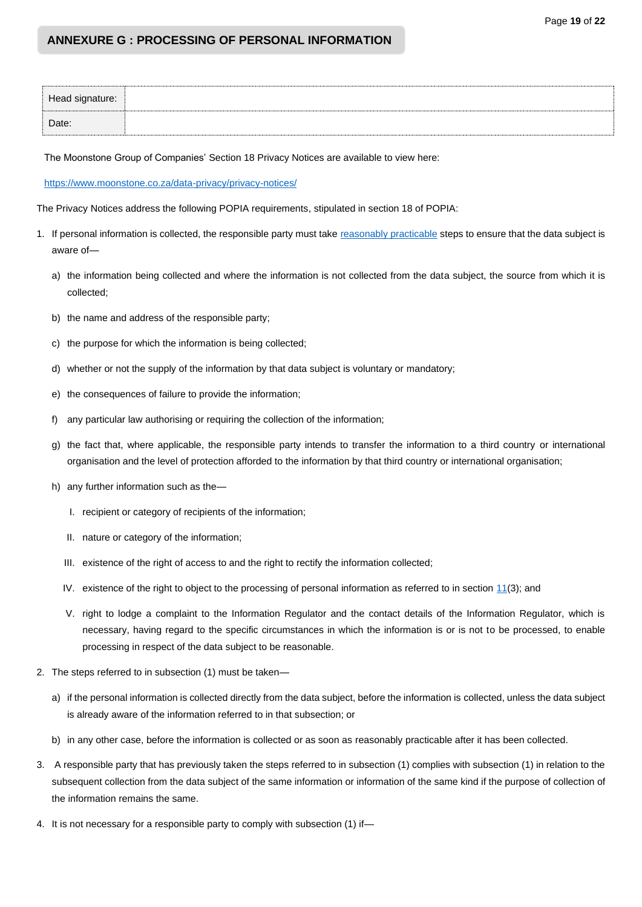# **ANNEXURE G : PROCESSING OF PERSONAL INFORMATION**

| Head signature: |  |
|-----------------|--|
| Date:           |  |

The Moonstone Group of Companies' Section 18 Privacy Notices are available to view here:

<https://www.moonstone.co.za/data-privacy/privacy-notices/>

The Privacy Notices address the following POPIA requirements, stipulated in section 18 of POPIA:

- 1. If personal information is collected, the responsible party must take [reasonably practicable](https://www.michalsons.com/blog/reasonably-practicable-to-comply-with-popi/13296) steps to ensure that the data subject is aware of
	- a) the information being collected and where the information is not collected from the data subject, the source from which it is collected;
	- b) the name and address of the responsible party;
	- c) the purpose for which the information is being collected;
	- d) whether or not the supply of the information by that data subject is voluntary or mandatory;
	- e) the consequences of failure to provide the information;
	- f) any particular law authorising or requiring the collection of the information;
	- g) the fact that, where applicable, the responsible party intends to transfer the information to a third country or international organisation and the level of protection afforded to the information by that third country or international organisation;
	- h) any further information such as the—
		- I. recipient or category of recipients of the information;
		- II. nature or category of the information;
		- III. existence of the right of access to and the right to rectify the information collected;
		- IV. existence of the right to object to the processing of personal information as referred to in section [11\(](https://popia.co.za/section-11-consent-justification-and-objection/)3); and
		- V. right to lodge a complaint to the Information Regulator and the contact details of the Information Regulator, which is necessary, having regard to the specific circumstances in which the information is or is not to be processed, to enable processing in respect of the data subject to be reasonable.
- 2. The steps referred to in subsection (1) must be taken
	- a) if the personal information is collected directly from the data subject, before the information is collected, unless the data subject is already aware of the information referred to in that subsection; or
	- b) in any other case, before the information is collected or as soon as reasonably practicable after it has been collected.
- 3. A responsible party that has previously taken the steps referred to in subsection (1) complies with subsection (1) in relation to the subsequent collection from the data subject of the same information or information of the same kind if the purpose of collection of the information remains the same.
- 4. It is not necessary for a responsible party to comply with subsection (1) if—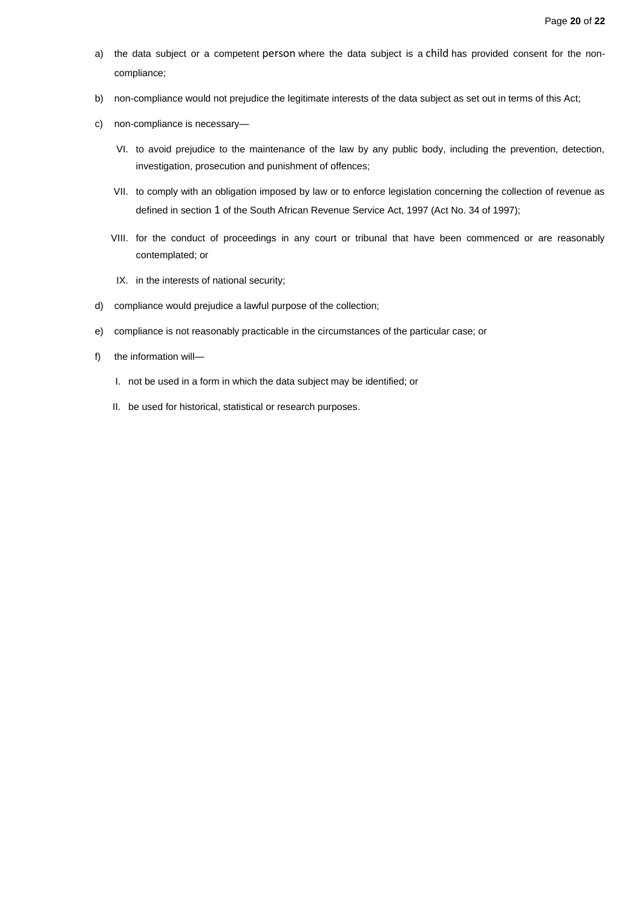- a) the data subject or a competent [person](https://popia.co.za/section-1-definitions/) where the data subject is a [child](https://popia.co.za/section-1-definitions/) has provided consent for the noncompliance;
- b) non-compliance would not prejudice the legitimate interests of the data subject as set out in terms of this Act;
- c) non-compliance is necessary—
	- VI. to avoid prejudice to the maintenance of the law by any public body, including the prevention, detection, investigation, prosecution and punishment of offences;
	- VII. to comply with an obligation imposed by law or to enforce legislation concerning the collection of revenue as defined in section [1](https://popia.co.za/section-1-definitions/) of the South African Revenue Service Act, 1997 (Act No. 34 of 1997);
	- VIII. for the conduct of proceedings in any court or tribunal that have been commenced or are reasonably contemplated; or
	- IX. in the interests of national security;
- d) compliance would prejudice a lawful purpose of the collection;
- e) compliance is not reasonably practicable in the circumstances of the particular case; or
- f) the information will—
	- I. not be used in a form in which the data subject may be identified; or
	- II. be used for historical, statistical or research purposes.